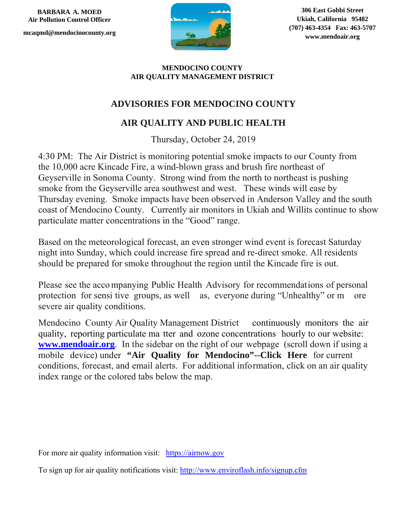**BARBARA A. MOED Air Pollution Control Officer** 

**mcaqmd@mendocinocounty.org** 



**306 East Gobbi Street Ukiah, California 95482 (707) 463-4354 Fax: 463-5707 www.mendoair.org** 

## **MENDOCINO COUNTY AIR QUALITY MANAGEMENT DISTRICT**

## **ADVISORIES FOR MENDOCINO COUNTY**

## **AIR QUALITY AND PUBLIC HEALTH**

Thursday, October 24, 2019

4:30 PM: The Air District is monitoring potential smoke impacts to our County from the 10,000 acre Kincade Fire, a wind-blown grass and brush fire northeast of Geyserville in Sonoma County. Strong wind from the north to northeast is pushing smoke from the Geyserville area southwest and west. These winds will ease by Thursday evening. Smoke impacts have been observed in Anderson Valley and the south coast of Mendocino County. Currently air monitors in Ukiah and Willits continue to show particulate matter concentrations in the "Good" range.

Based on the meteorological forecast, an even stronger wind event is forecast Saturday night into Sunday, which could increase fire spread and re-direct smoke. All residents should be prepared for smoke throughout the region until the Kincade fire is out.

Please see the acco mpanying Public Health Advisory for recommendations of personal protection for sensi tive groups, as well as, everyone during "Unhealthy" or m ore severe air quality conditions.

Mendocino County Air Quality Management District continuously monitors the air quality, reporting particulate ma tter and ozone concentrations hourly to our website: **www.mendoair.org**. In the sidebar on the right of our webpage (scroll down if using a mobile device) under **"Air Quality for Mendocino"--Click Here** for current conditions, forecast, and email alerts. For additional information, click on an air quality index range or the colored tabs below the map.

For more air quality information visit: https://airnow.gov

To sign up for air quality notifications visit: http://www.enviroflash.info/signup.cfm